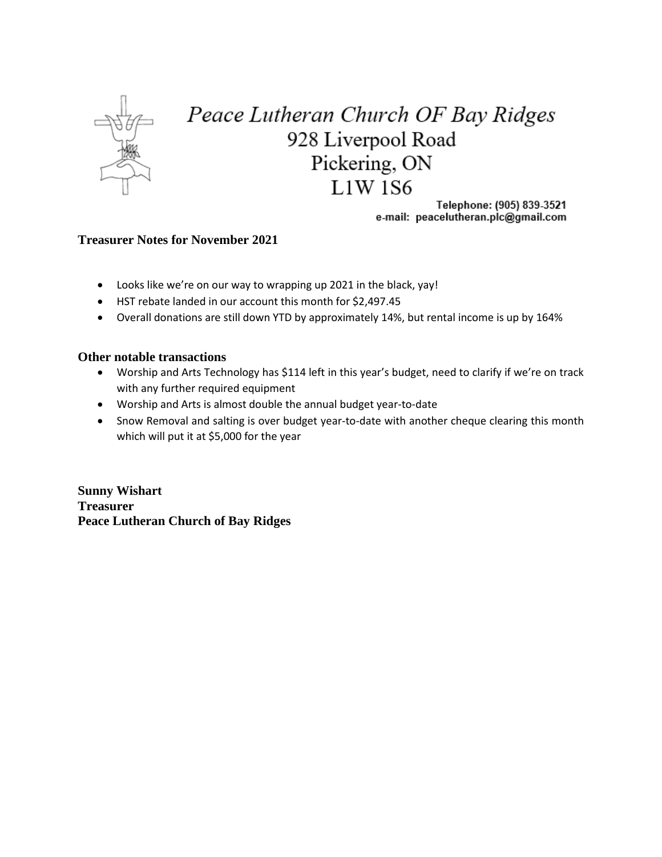

## Peace Lutheran Church OF Bay Ridges 928 Liverpool Road Pickering, ON  $L1W$  1S6

Telephone: (905) 839-3521 e-mail: peacelutheran.plc@gmail.com

## **Treasurer Notes for November 2021**

- Looks like we're on our way to wrapping up 2021 in the black, yay!
- HST rebate landed in our account this month for \$2,497.45
- Overall donations are still down YTD by approximately 14%, but rental income is up by 164%

## **Other notable transactions**

- Worship and Arts Technology has \$114 left in this year's budget, need to clarify if we're on track with any further required equipment
- Worship and Arts is almost double the annual budget year-to-date
- Snow Removal and salting is over budget year-to-date with another cheque clearing this month which will put it at \$5,000 for the year

**Sunny Wishart Treasurer Peace Lutheran Church of Bay Ridges**